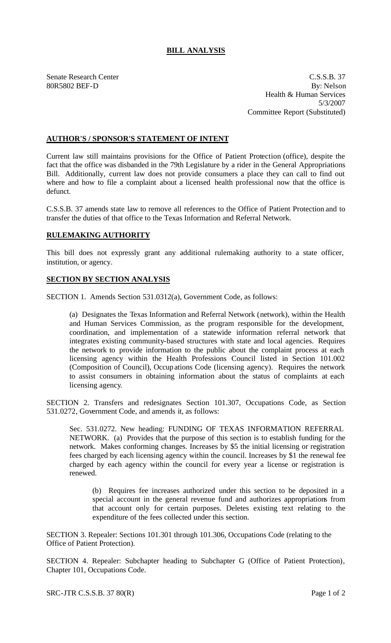## **BILL ANALYSIS**

Senate Research Center Casses and C.S.S.B. 37 80R5802 BEF-D By: Nelson Health & Human Services 5/3/2007 Committee Report (Substituted)

## **AUTHOR'S / SPONSOR'S STATEMENT OF INTENT**

Current law still maintains provisions for the Office of Patient Protection (office), despite the fact that the office was disbanded in the 79th Legislature by a rider in the General Appropriations Bill. Additionally, current law does not provide consumers a place they can call to find out where and how to file a complaint about a licensed health professional now that the office is defunct.

C.S.S.B. 37 amends state law to remove all references to the Office of Patient Protection and to transfer the duties of that office to the Texas Information and Referral Network.

## **RULEMAKING AUTHORITY**

This bill does not expressly grant any additional rulemaking authority to a state officer, institution, or agency.

## **SECTION BY SECTION ANALYSIS**

SECTION 1. Amends Section 531.0312(a), Government Code, as follows:

(a) Designates the Texas Information and Referral Network (network), within the Health and Human Services Commission, as the program responsible for the development, coordination, and implementation of a statewide information referral network that integrates existing community-based structures with state and local agencies. Requires the network to provide information to the public about the complaint process at each licensing agency within the Health Professions Council listed in Section 101.002 (Composition of Council), Occupations Code (licensing agency). Requires the network to assist consumers in obtaining information about the status of complaints at each licensing agency.

SECTION 2. Transfers and redesignates Section 101.307, Occupations Code, as Section 531.0272, Government Code, and amends it, as follows:

Sec. 531.0272. New heading: FUNDING OF TEXAS INFORMATION REFERRAL NETWORK. (a) Provides that the purpose of this section is to establish funding for the network. Makes conforming changes. Increases by \$5 the initial licensing or registration fees charged by each licensing agency within the council. Increases by \$1 the renewal fee charged by each agency within the council for every year a license or registration is renewed.

(b) Requires fee increases authorized under this section to be deposited in a special account in the general revenue fund and authorizes appropriations from that account only for certain purposes. Deletes existing text relating to the expenditure of the fees collected under this section.

SECTION 3. Repealer: Sections 101.301 through 101.306, Occupations Code (relating to the Office of Patient Protection).

SECTION 4. Repealer: Subchapter heading to Subchapter G (Office of Patient Protection), Chapter 101, Occupations Code.